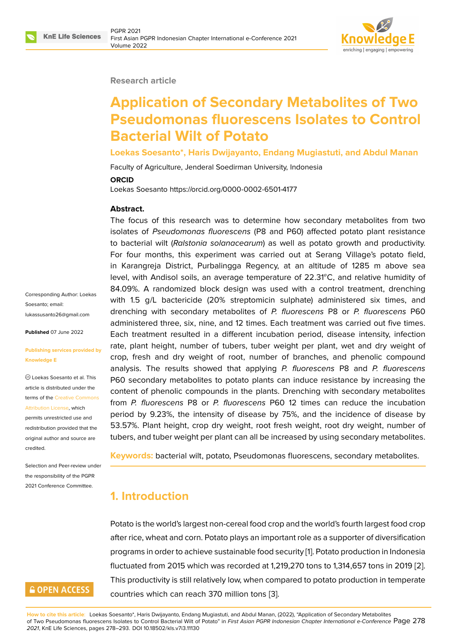#### **Research article**

# **Application of Secondary Metabolites of Two Pseudomonas fluorescens Isolates to Control Bacterial Wilt of Potato**

**Loekas Soesanto\*, Haris Dwijayanto, Endang Mugiastuti, and Abdul Manan**

Faculty of Agriculture, Jenderal Soedirman University, Indonesia

#### **ORCID**

Loekas Soesanto https://orcid.org/0000-0002-6501-4177

#### **Abstract.**

The focus of this research was to determine how secondary metabolites from two isolates of *Pseudomonas fluorescens* (P8 and P60) affected potato plant resistance to bacterial wilt (*Ralstonia solanacearum*) as well as potato growth and productivity. For four months, this experiment was carried out at Serang Village's potato field, in Karangreja District, Purbalingga Regency, at an altitude of 1285 m above sea level, with Andisol soils, an average temperature of  $22.31^{\circ}$ C, and relative humidity of 84.09%. A randomized block design was used with a control treatment, drenching with 1.5 g/L bactericide (20% streptomicin sulphate) administered six times, and drenching with secondary metabolites of *P. fluorescens* P8 or *P. fluorescens* P60 administered three, six, nine, and 12 times. Each treatment was carried out five times. Each treatment resulted in a different incubation period, disease intensity, infection rate, plant height, number of tubers, tuber weight per plant, wet and dry weight of crop, fresh and dry weight of root, number of branches, and phenolic compound analysis. The results showed that applying *P. fluorescens* P8 and *P. fluorescens* P60 secondary metabolites to potato plants can induce resistance by increasing the content of phenolic compounds in the plants. Drenching with secondary metabolites from *P. fluorescens* P8 or *P. fluorescens* P60 12 times can reduce the incubation period by 9.23%, the intensity of disease by 75%, and the incidence of disease by 53.57%. Plant height, crop dry weight, root fresh weight, root dry weight, number of tubers, and tuber weight per plant can all be increased by using secondary metabolites.

**Keywords:** bacterial wilt, potato, Pseudomonas fluorescens, secondary metabolites.

# **1. Introduction**

Potato is the world's largest non-cereal food crop and the world's fourth largest food crop after rice, wheat and corn. Potato plays an important role as a supporter of diversification programs in order to achieve sustainable food security [1]. Potato production in Indonesia fluctuated from 2015 which was recorded at 1,219,270 tons to 1,314,657 tons in 2019 [2]. This productivity is still relatively low, when compared to potato production in temperate countries which can reach 370 million tons [3].

**How to cite this article**: Loekas Soesanto\*, Haris Dwijayanto, Endang Mugiastuti, and Abdul Manan, (2022), "Application of Secondary Metabolites of Two Pseudomonas fluorescens Isolates to Control Bacterial Wilt of Potato" in *First Asian PGPR Indonesian Chapter International e-Conference* Page 278 *2021*, KnE Life Sciences, pages 278–293. DOI 10.18502/kls.v7i3.11130

Corresponding Author: Loekas Soesanto; email: lukassusanto26@gmail.com

**Published** 07 June 2022

#### **[Publishing services provide](mailto:lukassusanto26@gmail.com)d by Knowledge E**

Loekas Soesanto et al. This article is distributed under the terms of the Creative Commons Attribution License, which

permits unrestricted use and redistribution provided that the original auth[or and source are](https://creativecommons.org/licenses/by/4.0/) [credited.](https://creativecommons.org/licenses/by/4.0/)

Selection and Peer-review under the responsibility of the PGPR 2021 Conference Committee.

# **GOPEN ACCESS**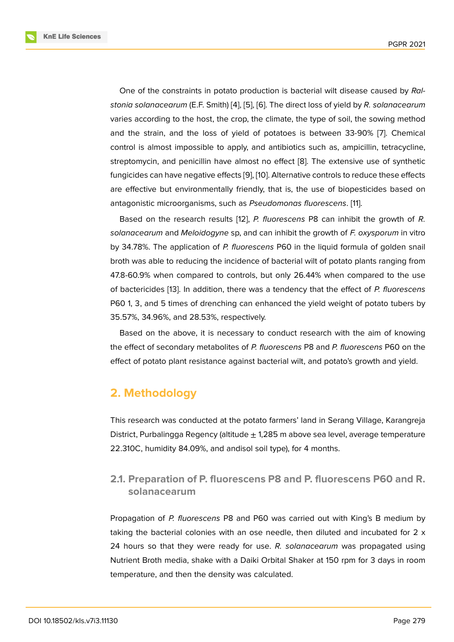One of the constraints in potato production is bacterial wilt disease caused by *Ralstonia solanacearum* (E.F. Smith) [4], [5], [6]. The direct loss of yield by *R. solanacearum* varies according to the host, the crop, the climate, the type of soil, the sowing method and the strain, and the loss of yield of potatoes is between 33-90% [7]. Chemical control is almost impossible to a[pp](#page-12-0)l[y,](#page-12-1) a[nd](#page-12-2) antibiotics such as, ampicillin, tetracycline, streptomycin, and penicillin have almost no effect [8]. The extensive use of synthetic fungicides can have negative effects [9], [10]. Alternative controls to reduce [th](#page-12-3)ese effects are effective but environmentally friendly, that is, the use of biopesticides based on antagonistic microorganisms, such as *Pseudomona[s f](#page-12-4)luorescens*. [11].

Based on the research results [1[2\],](#page-12-5) *[P. fl](#page-13-0)uorescens* P8 can inhibit the growth of *R. solanacearum* and *Meloidogyne* sp, and can inhibit the growth of *F. oxysporum* in vitro by 34.78%. The application of *P. fluorescens* P60 in the liquid for[mu](#page-13-1)la of golden snail broth was able to reducing the inci[de](#page-13-2)nce of bacterial wilt of potato plants ranging from 47.8-60.9% when compared to controls, but only 26.44% when compared to the use of bactericides [13]. In addition, there was a tendency that the effect of *P. fluorescens* P60 1, 3, and 5 times of drenching can enhanced the yield weight of potato tubers by 35.57%, 34.96%, and 28.53%, respectively.

Based on th[e a](#page-13-3)bove, it is necessary to conduct research with the aim of knowing the effect of secondary metabolites of *P. fluorescens* P8 and *P. fluorescens* P60 on the effect of potato plant resistance against bacterial wilt, and potato's growth and yield.

# **2. Methodology**

This research was conducted at the potato farmers' land in Serang Village, Karangreja District, Purbalingga Regency (altitude  $\pm$  1,285 m above sea level, average temperature 22.310C, humidity 84.09%, and andisol soil type), for 4 months.

### **2.1. Preparation of P. fluorescens P8 and P. fluorescens P60 and R. solanacearum**

Propagation of *P. fluorescens* P8 and P60 was carried out with King's B medium by taking the bacterial colonies with an ose needle, then diluted and incubated for  $2 \times$ 24 hours so that they were ready for use. *R. solanacearum* was propagated using Nutrient Broth media, shake with a Daiki Orbital Shaker at 150 rpm for 3 days in room temperature, and then the density was calculated.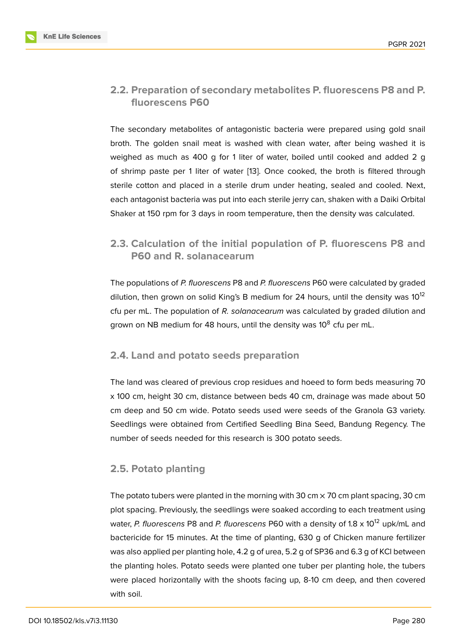### **2.2. Preparation of secondary metabolites P. fluorescens P8 and P. fluorescens P60**

The secondary metabolites of antagonistic bacteria were prepared using gold snail broth. The golden snail meat is washed with clean water, after being washed it is weighed as much as 400 g for 1 liter of water, boiled until cooked and added 2 g of shrimp paste per 1 liter of water [13]. Once cooked, the broth is filtered through sterile cotton and placed in a sterile drum under heating, sealed and cooled. Next, each antagonist bacteria was put into each sterile jerry can, shaken with a Daiki Orbital Shaker at 150 rpm for 3 days in room [tem](#page-13-3)perature, then the density was calculated.

# **2.3. Calculation of the initial population of P. fluorescens P8 and P60 and R. solanacearum**

The populations of *P. fluorescens* P8 and *P. fluorescens* P60 were calculated by graded dilution, then grown on solid King's B medium for 24 hours, until the density was  $10^{12}$ cfu per mL. The population of *R. solanacearum* was calculated by graded dilution and grown on NB medium for 48 hours, until the density was 10<sup>8</sup> cfu per mL.

#### **2.4. Land and potato seeds preparation**

The land was cleared of previous crop residues and hoeed to form beds measuring 70 x 100 cm, height 30 cm, distance between beds 40 cm, drainage was made about 50 cm deep and 50 cm wide. Potato seeds used were seeds of the Granola G3 variety. Seedlings were obtained from Certified Seedling Bina Seed, Bandung Regency. The number of seeds needed for this research is 300 potato seeds.

### **2.5. Potato planting**

The potato tubers were planted in the morning with 30 cm  $\times$  70 cm plant spacing, 30 cm plot spacing. Previously, the seedlings were soaked according to each treatment using water, *P. fluorescens* P8 and *P. fluorescens* P60 with a density of 1.8 x 10<sup>12</sup> upk/mL and bactericide for 15 minutes. At the time of planting, 630 g of Chicken manure fertilizer was also applied per planting hole, 4.2 g of urea, 5.2 g of SP36 and 6.3 g of KCl between the planting holes. Potato seeds were planted one tuber per planting hole, the tubers were placed horizontally with the shoots facing up, 8-10 cm deep, and then covered with soil.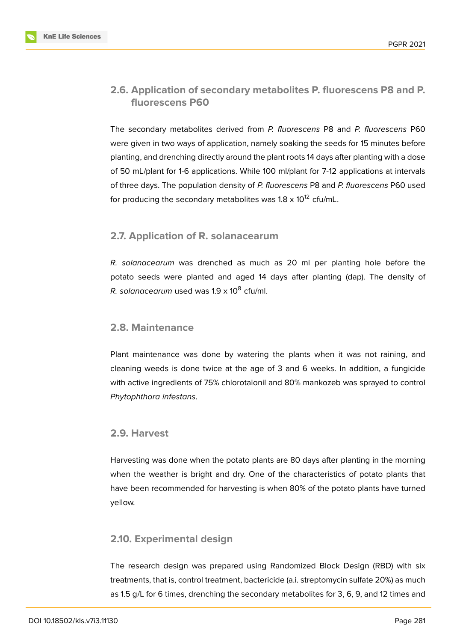#### **2.6. Application of secondary metabolites P. fluorescens P8 and P. fluorescens P60**

The secondary metabolites derived from *P. fluorescens* P8 and *P. fluorescens* P60 were given in two ways of application, namely soaking the seeds for 15 minutes before planting, and drenching directly around the plant roots 14 days after planting with a dose of 50 mL/plant for 1-6 applications. While 100 ml/plant for 7-12 applications at intervals of three days. The population density of *P. fluorescens* P8 and *P. fluorescens* P60 used for producing the secondary metabolites was  $1.8 \times 10^{12}$  cfu/mL.

#### **2.7. Application of R. solanacearum**

*R. solanacearum* was drenched as much as 20 ml per planting hole before the potato seeds were planted and aged 14 days after planting (dap). The density of *R. solanacearum* used was 1.9 x 10<sup>8</sup> cfu/ml.

#### **2.8. Maintenance**

Plant maintenance was done by watering the plants when it was not raining, and cleaning weeds is done twice at the age of 3 and 6 weeks. In addition, a fungicide with active ingredients of 75% chlorotalonil and 80% mankozeb was sprayed to control *Phytophthora infestans*.

#### **2.9. Harvest**

Harvesting was done when the potato plants are 80 days after planting in the morning when the weather is bright and dry. One of the characteristics of potato plants that have been recommended for harvesting is when 80% of the potato plants have turned yellow.

#### **2.10. Experimental design**

The research design was prepared using Randomized Block Design (RBD) with six treatments, that is, control treatment, bactericide (a.i. streptomycin sulfate 20%) as much as 1.5 g/L for 6 times, drenching the secondary metabolites for 3, 6, 9, and 12 times and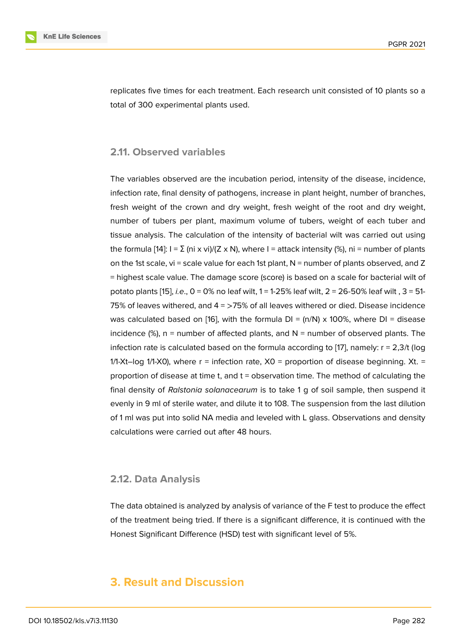replicates five times for each treatment. Each research unit consisted of 10 plants so a total of 300 experimental plants used.

#### **2.11. Observed variables**

The variables observed are the incubation period, intensity of the disease, incidence, infection rate, final density of pathogens, increase in plant height, number of branches, fresh weight of the crown and dry weight, fresh weight of the root and dry weight, number of tubers per plant, maximum volume of tubers, weight of each tuber and tissue analysis. The calculation of the intensity of bacterial wilt was carried out using the formula [14]:  $I = \Sigma$  (ni x vi)/(Z x N), where I = attack intensity (%), ni = number of plants on the 1st scale, vi = scale value for each 1st plant,  $N$  = number of plants observed, and Z = highest scale value. The damage score (score) is based on a scale for bacterial wilt of potato plant[s \[1](#page-13-4)5], *i.e*., 0 = 0% no leaf wilt, 1 = 1-25% leaf wilt, 2 = 26-50% leaf wilt , 3 = 51- 75% of leaves withered, and 4 = >75% of all leaves withered or died. Disease incidence was calculated based on [16], with the formula  $DI = (n/N) \times 100\%$ , where  $DI =$  disease incidence  $(\%)$ , [n](#page-13-5) = number of affected plants, and N = number of observed plants. The infection rate is calculated based on the formula according to [17], namely: r = 2,3/t (log 1/1-Xt–log 1/1-X0), where  $r =$  infection rate,  $X0 =$  proportion of disease beginning. Xt. = proportion of disease at time t, and t = observation time. The method of calculating the final density of *Ralstonia solanacearum* is to take 1 g of soil [sa](#page-13-7)mple, then suspend it evenly in 9 ml of sterile water, and dilute it to 108. The suspension from the last dilution of 1 ml was put into solid NA media and leveled with L glass. Observations and density calculations were carried out after 48 hours.

#### **2.12. Data Analysis**

The data obtained is analyzed by analysis of variance of the F test to produce the effect of the treatment being tried. If there is a significant difference, it is continued with the Honest Significant Difference (HSD) test with significant level of 5%.

# **3. Result and Discussion**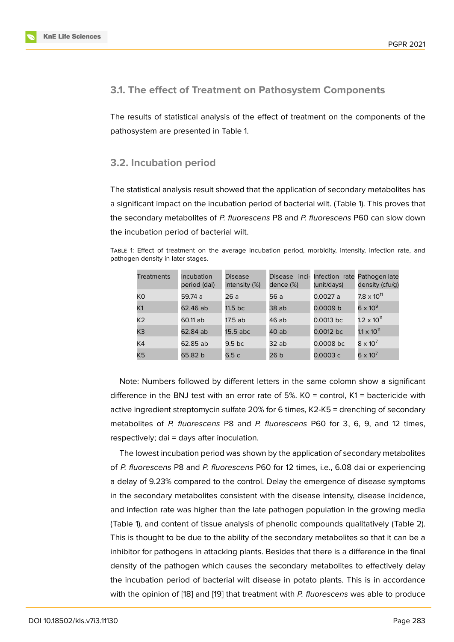#### **3.1. The effect of Treatment on Pathosystem Components**

The results of statistical analysis of the effect of treatment on the components of the pathosystem are presented in Table 1.

#### **3.2. Incubation period**

The statistical analysis result showed that the application of secondary metabolites has a significant impact on the incubation period of bacterial wilt. (Table 1). This proves that the secondary metabolites of *P. fluorescens* P8 and *P. fluorescens* P60 can slow down the incubation period of bacterial wilt.

Table 1: Effect of treatment on the average incubation period, morbidity, intensity, infection rate, and pathogen density in later stages.

| <b>Treatments</b> | <b>Incubation</b><br>period (dai) | <b>Disease</b><br>intensity (%) | inci-<br>Disease<br>dence (%) | Infection rate Pathogen late<br>(unit/days) | density (cfu/g)      |
|-------------------|-----------------------------------|---------------------------------|-------------------------------|---------------------------------------------|----------------------|
| K0                | 59.74 a                           | 26 a                            | 56 a                          | 0.0027 a                                    | $7.8 \times 10^{11}$ |
| K1                | 62.46 ab                          | 11.5 <sub>b</sub> c             | 38 ab                         | 0.0009 b                                    | $6 \times 10^{9}$    |
| K <sub>2</sub>    | 60.11 ab                          | $17.5$ ab                       | 46 ab                         | $0.0013$ bc                                 | $1.2 \times 10^{11}$ |
| K3                | 62.84 ab                          | $15.5$ abc                      | 40 ab                         | 0.0012 bc                                   | $1.1 \times 10^{11}$ |
| K4                | 62.85 ab                          | 9.5 <sub>bc</sub>               | 32ab                          | 0.0008 bc                                   | $8 \times 10^7$      |
| K5                | 65.82 b                           | 6.5 c                           | 26 b                          | 0.0003 c                                    | $6 \times 10^7$      |

Note: Numbers followed by different letters in the same colomn show a significant difference in the BNJ test with an error rate of 5%.  $KO =$  control,  $K1 =$  bactericide with active ingredient streptomycin sulfate 20% for 6 times, K2-K5 = drenching of secondary metabolites of *P. fluorescens* P8 and *P. fluorescens* P60 for 3, 6, 9, and 12 times, respectively; dai = days after inoculation.

The lowest incubation period was shown by the application of secondary metabolites of *P. fluorescens* P8 and *P. fluorescens* P60 for 12 times, i.e., 6.08 dai or experiencing a delay of 9.23% compared to the control. Delay the emergence of disease symptoms in the secondary metabolites consistent with the disease intensity, disease incidence, and infection rate was higher than the late pathogen population in the growing media (Table 1), and content of tissue analysis of phenolic compounds qualitatively (Table 2). This is thought to be due to the ability of the secondary metabolites so that it can be a inhibitor for pathogens in attacking plants. Besides that there is a difference in the final density of the pathogen which causes the secondary metabolites to effectively delay the incubation period of bacterial wilt disease in potato plants. This is in accordance with the opinion of [18] and [19] that treatment with *P. fluorescens* was able to produce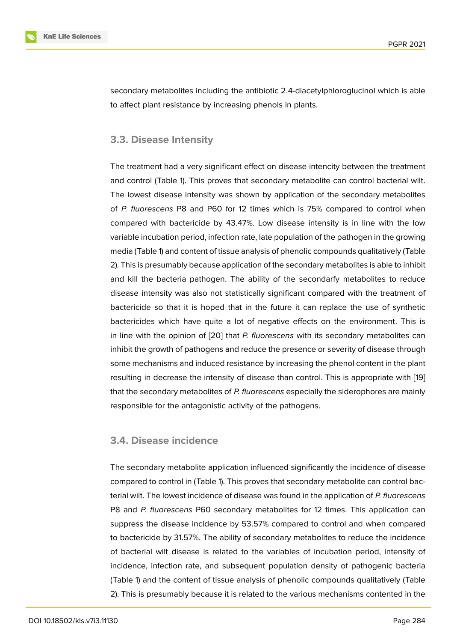secondary metabolites including the antibiotic 2.4-diacetylphloroglucinol which is able to affect plant resistance by increasing phenols in plants.

#### **3.3. Disease Intensity**

The treatment had a very significant effect on disease intencity between the treatment and control (Table 1). This proves that secondary metabolite can control bacterial wilt. The lowest disease intensity was shown by application of the secondary metabolites of *P. fluorescens* P8 and P60 for 12 times which is 75% compared to control when compared with bactericide by 43.47%. Low disease intensity is in line with the low variable incubation period, infection rate, late population of the pathogen in the growing media (Table 1) and content of tissue analysis of phenolic compounds qualitatively (Table 2). This is presumably because application of the secondary metabolites is able to inhibit and kill the bacteria pathogen. The ability of the secondarfy metabolites to reduce disease intensity was also not statistically significant compared with the treatment of bactericide so that it is hoped that in the future it can replace the use of synthetic bactericides which have quite a lot of negative effects on the environment. This is in line with the opinion of [20] that *P. fluorescens* with its secondary metabolites can inhibit the growth of pathogens and reduce the presence or severity of disease through some mechanisms and induced resistance by increasing the phenol content in the plant resulting in decrease the in[ten](#page-13-8)sity of disease than control. This is appropriate with [19] that the secondary metabolites of *P. fluorescens* especially the siderophores are mainly responsible for the antagonistic activity of the pathogens.

#### **3.4. Disease incidence**

The secondary metabolite application influenced significantly the incidence of disease compared to control in (Table 1). This proves that secondary metabolite can control bacterial wilt. The lowest incidence of disease was found in the application of *P. fluorescens* P8 and *P. fluorescens* P60 secondary metabolites for 12 times. This application can suppress the disease incidence by 53.57% compared to control and when compared to bactericide by 31.57%. The ability of secondary metabolites to reduce the incidence of bacterial wilt disease is related to the variables of incubation period, intensity of incidence, infection rate, and subsequent population density of pathogenic bacteria (Table 1) and the content of tissue analysis of phenolic compounds qualitatively (Table 2). This is presumably because it is related to the various mechanisms contented in the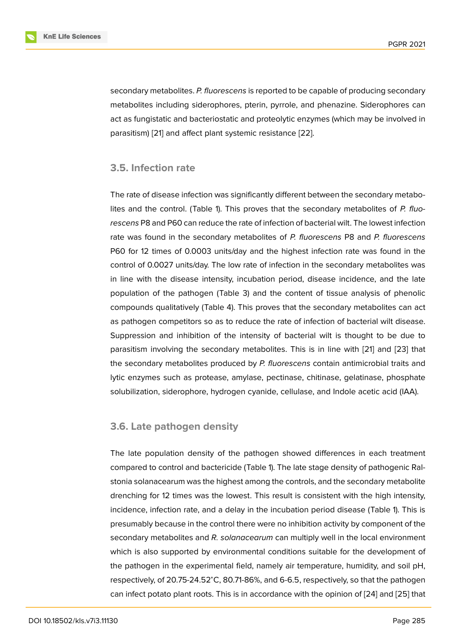secondary metabolites. *P. fluorescens* is reported to be capable of producing secondary metabolites including siderophores, pterin, pyrrole, and phenazine. Siderophores can act as fungistatic and bacteriostatic and proteolytic enzymes (which may be involved in parasitism) [21] and affect plant systemic resistance [22].

#### **3.5. Infe[ctio](#page-14-0)n rate**

The rate of disease infection was significantly different between the secondary metabolites and the control. (Table 1). This proves that the secondary metabolites of *P. fluorescens* P8 and P60 can reduce the rate of infection of bacterial wilt. The lowest infection rate was found in the secondary metabolites of *P. fluorescens* P8 and *P. fluorescens* P60 for 12 times of 0.0003 units/day and the highest infection rate was found in the control of 0.0027 units/day. The low rate of infection in the secondary metabolites was in line with the disease intensity, incubation period, disease incidence, and the late population of the pathogen (Table 3) and the content of tissue analysis of phenolic compounds qualitatively (Table 4). This proves that the secondary metabolites can act as pathogen competitors so as to reduce the rate of infection of bacterial wilt disease. Suppression and inhibition of the intensity of bacterial wilt is thought to be due to parasitism involving the secondary metabolites. This is in line with [21] and [23] that the secondary metabolites produced by *P. fluorescens* contain antimicrobial traits and lytic enzymes such as protease, amylase, pectinase, chitinase, gelatinase, phosphate solubilization, siderophore, hydrogen cyanide, cellulase, and Indole a[cet](#page-14-0)ic aci[d \(IA](#page-14-1)A).

#### **3.6. Late pathogen density**

The late population density of the pathogen showed differences in each treatment compared to control and bactericide (Table 1). The late stage density of pathogenic Ralstonia solanacearum was the highest among the controls, and the secondary metabolite drenching for 12 times was the lowest. This result is consistent with the high intensity, incidence, infection rate, and a delay in the incubation period disease (Table 1). This is presumably because in the control there were no inhibition activity by component of the secondary metabolites and *R. solanacearum* can multiply well in the local environment which is also supported by environmental conditions suitable for the development of the pathogen in the experimental field, namely air temperature, humidity, and soil pH, respectively, of 20.75-24.52<sup>∘</sup>C, 80.71-86%, and 6-6.5, respectively, so that the pathogen can infect potato plant roots. This is in accordance with the opinion of [24] and [25] that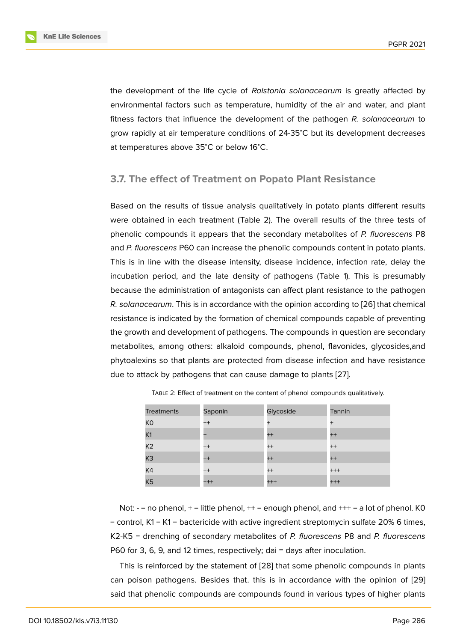the development of the life cycle of *Ralstonia solanacearum* is greatly affected by environmental factors such as temperature, humidity of the air and water, and plant fitness factors that influence the development of the pathogen *R. solanacearum* to grow rapidly at air temperature conditions of 24-35<sup>∘</sup>C but its development decreases at temperatures above 35<sup>∘</sup>C or below 16<sup>∘</sup>C.

#### **3.7. The effect of Treatment on Popato Plant Resistance**

Based on the results of tissue analysis qualitatively in potato plants different results were obtained in each treatment (Table 2). The overall results of the three tests of phenolic compounds it appears that the secondary metabolites of *P. fluorescens* P8 and *P. fluorescens* P60 can increase the phenolic compounds content in potato plants. This is in line with the disease intensity, disease incidence, infection rate, delay the incubation period, and the late density of pathogens (Table 1). This is presumably because the administration of antagonists can affect plant resistance to the pathogen *R. solanacearum*. This is in accordance with the opinion according to [26] that chemical resistance is indicated by the formation of chemical compounds capable of preventing the growth and development of pathogens. The compounds in question are secondary metabolites, among others: alkaloid compounds, phenol, flavonide[s, g](#page-14-2)lycosides,and phytoalexins so that plants are protected from disease infection and have resistance due to attack by pathogens that can cause damage to plants [27].

| <b>Treatments</b> | Saponin   | Glycoside | Tannin  |
|-------------------|-----------|-----------|---------|
| K <sub>0</sub>    | $^{++}$   | $^{+}$    | $^{+}$  |
| K <sub>1</sub>    | $\ddot{}$ | $^{++}$   | $^{++}$ |
| K <sub>2</sub>    | $^{++}$   | $^{++}$   | $^{++}$ |
| K <sub>3</sub>    | $^{++}$   | $^{++}$   | $^{++}$ |
| K4                | $^{++}$   | $^{++}$   | $+++$   |
| K <sub>5</sub>    | $+++$     | $+++$     | $+++$   |

Table 2: Effect of treatment on the content of phenol compounds qualitatively.

Not:  $- =$  no phenol,  $+ =$  little phenol,  $++ =$  enough phenol, and  $++ =$  a lot of phenol. K0  $=$  control, K1 = K1 = bactericide with active ingredient streptomycin sulfate 20% 6 times, K2-K5 = drenching of secondary metabolites of *P. fluorescens* P8 and *P. fluorescens* P60 for 3, 6, 9, and 12 times, respectively; dai = days after inoculation.

This is reinforced by the statement of [28] that some phenolic compounds in plants can poison pathogens. Besides that. this is in accordance with the opinion of [29] said that phenolic compounds are compounds found in various types of higher plants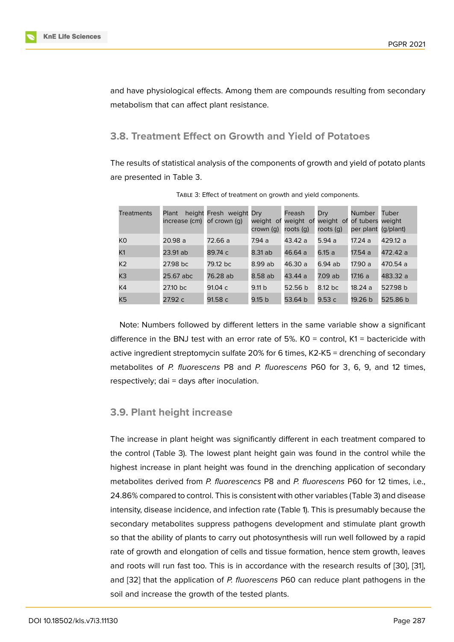and have physiological effects. Among them are compounds resulting from secondary metabolism that can affect plant resistance.

#### **3.8. Treatment Effect on Growth and Yield of Potatoes**

The results of statistical analysis of the components of growth and yield of potato plants are presented in Table 3.

| <b>Treatments</b> | Plant<br>increase (cm) | height Fresh weight Dry<br>of crown (g) | weight of<br>crown (q) | Freash<br>weight of<br>roots (g) | Dry<br>weight of<br>roots (g) | Number<br>of tubers weight<br>per plant | Tuber<br>(g/plant) |
|-------------------|------------------------|-----------------------------------------|------------------------|----------------------------------|-------------------------------|-----------------------------------------|--------------------|
| КO                | 20.98 a                | 72.66 a                                 | 7.94 a                 | 43.42 a                          | 5.94 a                        | 17.24 a                                 | 429.12 a           |
| K <sub>1</sub>    | 23.91 ab               | 89.74 c                                 | 8.31 ab                | 46.64 a                          | 6.15 a                        | 17.54 a                                 | 472.42 ล           |
| K2                | 27.98 bc               | 79.12 bc                                | 8.99 ab                | 46.30 a                          | 6.94 ab                       | 17.90 a                                 | 470.54 a           |
| K <sub>3</sub>    | 25.67 abc              | 76.28 ab                                | 8.58 ab                | 43.44 a                          | 7.09 ab                       | 17.16 a                                 | 483.32 a           |
| K4                | 27.10 bc               | 91.04 c                                 | 9.11 b                 | 52.56 b                          | 8.12 bc                       | 18.24 a                                 | 527.98 b           |
| K5                | 27.92 c                | 91.58 c                                 | 9.15 <sub>b</sub>      | 53.64 b                          | 9.53c                         | 19.26 b                                 | 525.86 b           |

Table 3: Effect of treatment on growth and yield components.

Note: Numbers followed by different letters in the same variable show a significant difference in the BNJ test with an error rate of 5%.  $KO =$  control,  $K1 =$  bactericide with active ingredient streptomycin sulfate 20% for 6 times, K2-K5 = drenching of secondary metabolites of *P. fluorescens* P8 and *P. fluorescens* P60 for 3, 6, 9, and 12 times, respectively; dai = days after inoculation.

### **3.9. Plant height increase**

The increase in plant height was significantly different in each treatment compared to the control (Table 3). The lowest plant height gain was found in the control while the highest increase in plant height was found in the drenching application of secondary metabolites derived from *P. fluorescencs* P8 and *P. fluorescens* P60 for 12 times, i.e., 24.86% compared to control. This is consistent with other variables (Table 3) and disease intensity, disease incidence, and infection rate (Table 1). This is presumably because the secondary metabolites suppress pathogens development and stimulate plant growth so that the ability of plants to carry out photosynthesis will run well followed by a rapid rate of growth and elongation of cells and tissue formation, hence stem growth, leaves and roots will run fast too. This is in accordance with the research results of [30], [31], and [32] that the application of *P. fluorescens* P60 can reduce plant pathogens in the soil and increase the growth of the tested plants.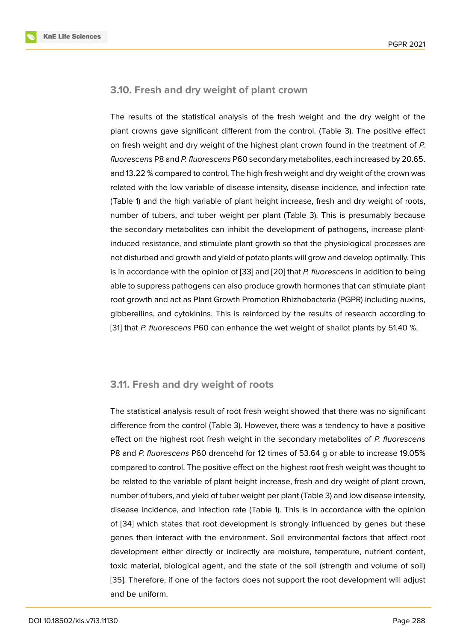#### **3.10. Fresh and dry weight of plant crown**

The results of the statistical analysis of the fresh weight and the dry weight of the plant crowns gave significant different from the control. (Table 3). The positive effect on fresh weight and dry weight of the highest plant crown found in the treatment of *P. fluorescens* P8 and *P. fluorescens* P60 secondary metabolites, each increased by 20.65. and 13.22 % compared to control. The high fresh weight and dry weight of the crown was related with the low variable of disease intensity, disease incidence, and infection rate (Table 1) and the high variable of plant height increase, fresh and dry weight of roots, number of tubers, and tuber weight per plant (Table 3). This is presumably because the secondary metabolites can inhibit the development of pathogens, increase plantinduced resistance, and stimulate plant growth so that the physiological processes are not disturbed and growth and yield of potato plants will grow and develop optimally. This is in accordance with the opinion of [33] and [20] that *P. fluorescens* in addition to being able to suppress pathogens can also produce growth hormones that can stimulate plant root growth and act as Plant Growth Promotion Rhizhobacteria (PGPR) including auxins, gibberellins, and cytokinins. This is [rei](#page-15-0)nforc[ed b](#page-13-8)y the results of research according to [31] that *P. fluorescens* P60 can enhance the wet weight of shallot plants by 51.40 %.

#### **3.11. Fresh and dry weight of roots**

The statistical analysis result of root fresh weight showed that there was no significant difference from the control (Table 3). However, there was a tendency to have a positive effect on the highest root fresh weight in the secondary metabolites of *P. fluorescens* P8 and *P. fluorescens* P60 drencehd for 12 times of 53.64 g or able to increase 19.05% compared to control. The positive effect on the highest root fresh weight was thought to be related to the variable of plant height increase, fresh and dry weight of plant crown, number of tubers, and yield of tuber weight per plant (Table 3) and low disease intensity, disease incidence, and infection rate (Table 1). This is in accordance with the opinion of [34] which states that root development is strongly influenced by genes but these genes then interact with the environment. Soil environmental factors that affect root development either directly or indirectly are moisture, temperature, nutrient content, tox[ic m](#page-15-1)aterial, biological agent, and the state of the soil (strength and volume of soil) [35]. Therefore, if one of the factors does not support the root development will adjust and be uniform.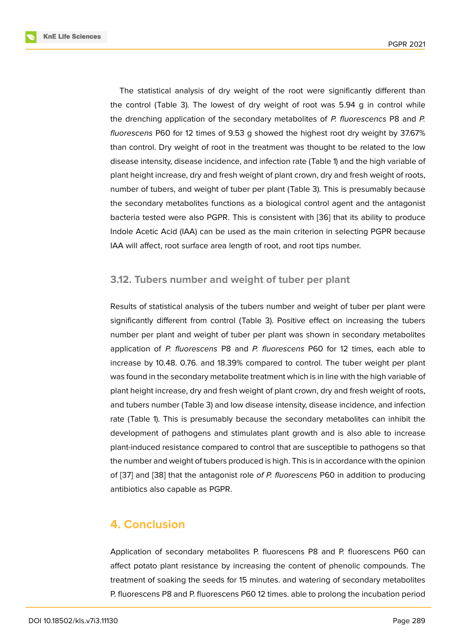The statistical analysis of dry weight of the root were significantly different than the control (Table 3). The lowest of dry weight of root was 5.94 g in control while the drenching application of the secondary metabolites of *P. fluorescencs* P8 and *P. fluorescens* P60 for 12 times of 9.53 g showed the highest root dry weight by 37.67% than control. Dry weight of root in the treatment was thought to be related to the low disease intensity, disease incidence, and infection rate (Table 1) and the high variable of plant height increase, dry and fresh weight of plant crown, dry and fresh weight of roots, number of tubers, and weight of tuber per plant (Table 3). This is presumably because the secondary metabolites functions as a biological control agent and the antagonist bacteria tested were also PGPR. This is consistent with [36] that its ability to produce Indole Acetic Acid (IAA) can be used as the main criterion in selecting PGPR because IAA will affect, root surface area length of root, and root tips number.

#### **3.12. Tubers number and weight of tuber per plant**

Results of statistical analysis of the tubers number and weight of tuber per plant were significantly different from control (Table 3). Positive effect on increasing the tubers number per plant and weight of tuber per plant was shown in secondary metabolites application of *P. fluorescens* P8 and *P. fluorescens* P60 for 12 times, each able to increase by 10.48. 0.76. and 18.39% compared to control. The tuber weight per plant was found in the secondary metabolite treatment which is in line with the high variable of plant height increase, dry and fresh weight of plant crown, dry and fresh weight of roots, and tubers number (Table 3) and low disease intensity, disease incidence, and infection rate (Table 1). This is presumably because the secondary metabolites can inhibit the development of pathogens and stimulates plant growth and is also able to increase plant-induced resistance compared to control that are susceptible to pathogens so that the number and weight of tubers produced is high. This is in accordance with the opinion of [37] and [38] that the antagonist role *of P. fluorescens* P60 in addition to producing antibiotics also capable as PGPR.

# **4. Conclusion**

Application of secondary metabolites P. fluorescens P8 and P. fluorescens P60 can affect potato plant resistance by increasing the content of phenolic compounds. The treatment of soaking the seeds for 15 minutes. and watering of secondary metabolites P. fluorescens P8 and P. fluorescens P60 12 times. able to prolong the incubation period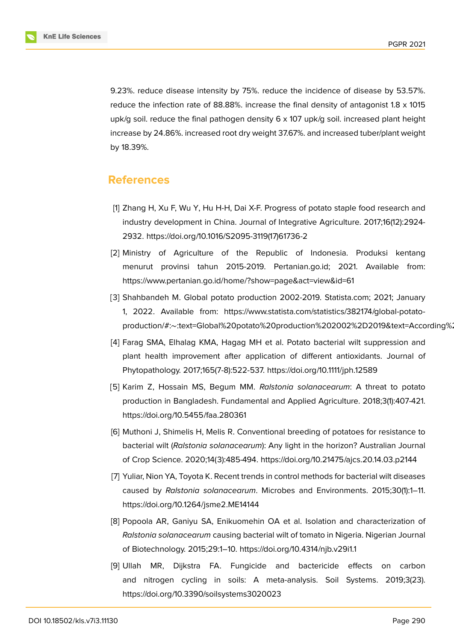9.23%. reduce disease intensity by 75%. reduce the incidence of disease by 53.57%. reduce the infection rate of 88.88%. increase the final density of antagonist 1.8 x 1015 upk/g soil. reduce the final pathogen density 6 x 107 upk/g soil. increased plant height increase by 24.86%. increased root dry weight 37.67%. and increased tuber/plant weight by 18.39%.

## **References**

- [1] Zhang H, Xu F, Wu Y, Hu H-H, Dai X-F. Progress of potato staple food research and industry development in China. Journal of Integrative Agriculture. 2017;16(12):2924- 2932. https://doi.org/10.1016/S2095-3119(17)61736-2
- [2] Ministry of Agriculture of the Republic of Indonesia. Produksi kentang menurut provinsi tahun 2015-2019. Pertanian.go.id; 2021. Available from: https://www.pertanian.go.id/home/?show=page&act=view&id=61
- [3] Shahbandeh M. Global potato production 2002-2019. Statista.com; 2021; January 1, 2022. Available from: https://www.statista.com/statistics/382174/global-potatoproduction/#:∼:text=Global%20potato%20production%202002%2D2019&text=According%
- <span id="page-12-0"></span>[4] Farag SMA, Elhalag KMA, Hagag MH et al. Potato bacterial wilt suppression and plant health improvement after application of different antioxidants. Journal of Phytopathology. 2017;165(7-8):522-537. https://doi.org/10.1111/jph.12589
- <span id="page-12-1"></span>[5] Karim Z, Hossain MS, Begum MM. *Ralstonia solanacearum*: A threat to potato production in Bangladesh. Fundamental and Applied Agriculture. 2018;3(1):407-421. https://doi.org/10.5455/faa.280361
- <span id="page-12-2"></span>[6] Muthoni J, Shimelis H, Melis R. Conventional breeding of potatoes for resistance to bacterial wilt (*Ralstonia solanacearum*): Any light in the horizon? Australian Journal of Crop Science. 2020;14(3):485-494. https://doi.org/10.21475/ajcs.20.14.03.p2144
- <span id="page-12-3"></span>[7] Yuliar, Nion YA, Toyota K. Recent trends in control methods for bacterial wilt diseases caused by *Ralstonia solanacearum*. Microbes and Environments. 2015;30(1):1–11. https://doi.org/10.1264/jsme2.ME14144
- <span id="page-12-4"></span>[8] Popoola AR, Ganiyu SA, Enikuomehin OA et al. Isolation and characterization of *Ralstonia solanacearum* causing bacterial wilt of tomato in Nigeria. Nigerian Journal of Biotechnology. 2015;29:1–10. https://doi.org/10.4314/njb.v29i1.1
- <span id="page-12-5"></span>[9] Ullah MR, Dijkstra FA. Fungicide and bactericide effects on carbon and nitrogen cycling in soils: A meta-analysis. Soil Systems. 2019;3(23). https://doi.org/10.3390/soilsystems3020023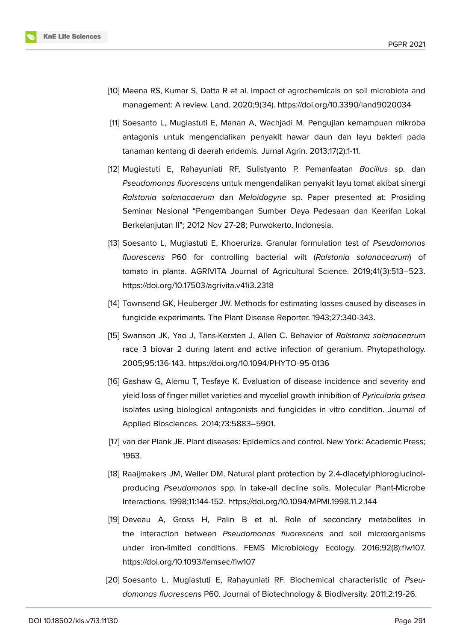

- <span id="page-13-0"></span>[10] Meena RS, Kumar S, Datta R et al. Impact of agrochemicals on soil microbiota and management: A review. Land. 2020;9(34). https://doi.org/10.3390/land9020034
- <span id="page-13-1"></span>[11] Soesanto L, Mugiastuti E, Manan A, Wachjadi M. Pengujian kemampuan mikroba antagonis untuk mengendalikan penyakit hawar daun dan layu bakteri pada tanaman kentang di daerah endemis. Jurnal Agrin. 2013;17(2):1-11.
- <span id="page-13-2"></span>[12] Mugiastuti E, Rahayuniati RF, Sulistyanto P. Pemanfaatan *Bacillus* sp. dan *Pseudomonas fluorescens* untuk mengendalikan penyakit layu tomat akibat sinergi *Ralstonia solanacaerum* dan *Meloidogyne* sp. Paper presented at: Prosiding Seminar Nasional "Pengembangan Sumber Daya Pedesaan dan Kearifan Lokal Berkelanjutan II"; 2012 Nov 27-28; Purwokerto, Indonesia.
- <span id="page-13-3"></span>[13] Soesanto L, Mugiastuti E, Khoeruriza. Granular formulation test of *Pseudomonas fluorescens* P60 for controlling bacterial wilt (*Ralstonia solanacearum*) of tomato in planta. AGRIVITA Journal of Agricultural Science. 2019;41(3):513–523. https://doi.org/10.17503/agrivita.v41i3.2318
- <span id="page-13-4"></span>[14] Townsend GK, Heuberger JW. Methods for estimating losses caused by diseases in fungicide experiments. The Plant Disease Reporter. 1943;27:340-343.
- <span id="page-13-5"></span>[15] Swanson JK, Yao J, Tans-Kersten J, Allen C. Behavior of *Ralstonia solanacearum* race 3 biovar 2 during latent and active infection of geranium. Phytopathology. 2005;95:136-143. https://doi.org/10.1094/PHYTO-95-0136
- <span id="page-13-6"></span>[16] Gashaw G, Alemu T, Tesfaye K. Evaluation of disease incidence and severity and yield loss of finger millet varieties and mycelial growth inhibition of *Pyricularia grisea* isolates using biological antagonists and fungicides in vitro condition. Journal of Applied Biosciences. 2014;73:5883–5901.
- <span id="page-13-7"></span>[17] van der Plank JE. Plant diseases: Epidemics and control. New York: Academic Press; 1963.
- [18] Raaijmakers JM, Weller DM. Natural plant protection by 2.4-diacetylphloroglucinolproducing *Pseudomonas* spp. in take-all decline soils. Molecular Plant-Microbe Interactions. 1998;11:144-152. https://doi.org/10.1094/MPMI.1998.11.2.144
- [19] Deveau A, Gross H, Palin B et al. Role of secondary metabolites in the interaction between *Pseudomonas fluorescens* and soil microorganisms under iron-limited conditions. FEMS Microbiology Ecology. 2016;92(8):fiw107. https://doi.org/10.1093/femsec/fiw107
- <span id="page-13-8"></span>[20] Soesanto L, Mugiastuti E, Rahayuniati RF. Biochemical characteristic of *Pseudomonas fluorescens* P60. Journal of Biotechnology & Biodiversity. 2011;2:19-26.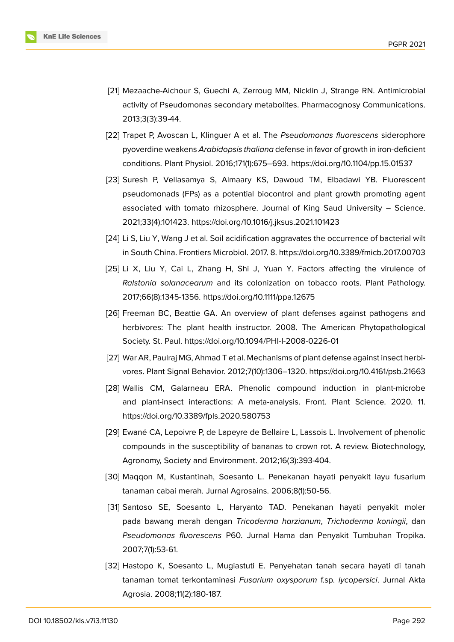

- <span id="page-14-0"></span>[21] Mezaache-Aichour S, Guechi A, Zerroug MM, Nicklin J, Strange RN. Antimicrobial activity of Pseudomonas secondary metabolites. Pharmacognosy Communications. 2013;3(3):39-44.
- [22] Trapet P, Avoscan L, Klinguer A et al. The *Pseudomonas fluorescens* siderophore pyoverdine weakens *Arabidopsis thaliana* defense in favor of growth in iron-deficient conditions. Plant Physiol. 2016;171(1):675–693. https://doi.org/10.1104/pp.15.01537
- <span id="page-14-1"></span>[23] Suresh P, Vellasamya S, Almaary KS, Dawoud TM, Elbadawi YB. Fluorescent pseudomonads (FPs) as a potential biocontrol and plant growth promoting agent associated with tomato rhizosphere. Journal of King Saud University – Science. 2021;33(4):101423. https://doi.org/10.1016/j.jksus.2021.101423
- [24] Li S, Liu Y, Wang J et al. Soil acidification aggravates the occurrence of bacterial wilt in South China. Frontiers Microbiol. 2017. 8. https://doi.org/10.3389/fmicb.2017.00703
- [25] Li X, Liu Y, Cai L, Zhang H, Shi J, Yuan Y. Factors affecting the virulence of *Ralstonia solanacearum* and its colonization on tobacco roots. Plant Pathology. 2017;66(8):1345-1356. https://doi.org/10.1111/ppa.12675
- <span id="page-14-2"></span>[26] Freeman BC, Beattie GA. An overview of plant defenses against pathogens and herbivores: The plant health instructor. 2008. The American Phytopathological Society. St. Paul. https://doi.org/10.1094/PHI-I-2008-0226-01
- <span id="page-14-3"></span>[27] War AR, Paulraj MG, Ahmad T et al. Mechanisms of plant defense against insect herbivores. Plant Signal Behavior. 2012;7(10):1306–1320. https://doi.org/10.4161/psb.21663
- [28] Wallis CM, Galarneau ERA. Phenolic compound induction in plant-microbe and plant-insect interactions: A meta-analysis. Front. Plant Science. 2020. 11. https://doi.org/10.3389/fpls.2020.580753
- <span id="page-14-4"></span>[29] Ewané CA, Lepoivre P, de Lapeyre de Bellaire L, Lassois L. Involvement of phenolic compounds in the susceptibility of bananas to crown rot. A review. Biotechnology, Agronomy, Society and Environment. 2012;16(3):393-404.
- [30] Maqqon M, Kustantinah, Soesanto L. Penekanan hayati penyakit layu fusarium tanaman cabai merah. Jurnal Agrosains. 2006;8(1):50-56.
- [31] Santoso SE, Soesanto L, Haryanto TAD. Penekanan hayati penyakit moler pada bawang merah dengan *Tricoderma harzianum*, *Trichoderma koningii*, dan *Pseudomonas fluorescens* P60. Jurnal Hama dan Penyakit Tumbuhan Tropika. 2007;7(1):53-61.
- [32] Hastopo K, Soesanto L, Mugiastuti E. Penyehatan tanah secara hayati di tanah tanaman tomat terkontaminasi *Fusarium oxysporum* f.sp. *lycopersici*. Jurnal Akta Agrosia. 2008;11(2):180-187.